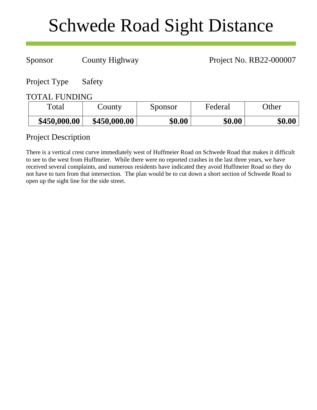# Schwede Road Sight Distance

Sponsor County Highway Project No. RB22-000007

Project Type Safety

## TOTAL FUNDING

| Total        | County       | Sponsor | Federal | Other  |
|--------------|--------------|---------|---------|--------|
| \$450,000.00 | \$450,000.00 | \$0.00  | \$0.00  | \$0.00 |

# Project Description

There is a vertical crest curve immediately west of Huffmeier Road on Schwede Road that makes it difficult to see to the west from Huffmeier. While there were no reported crashes in the last three years, we have received several complaints, and numerous residents have indicated they avoid Huffmeier Road so they do not have to turn from that intersection. The plan would be to cut down a short section of Schwede Road to open up the sight line for the side street.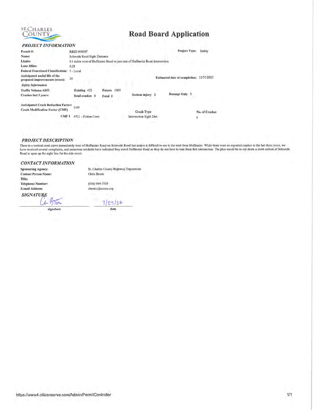

# **Road Board Application**

### PROJECT INFORMATION

| Permit#:                                                                      | RB22-000007                 |                |                                                                              | Project Type:                        | Safety        |
|-------------------------------------------------------------------------------|-----------------------------|----------------|------------------------------------------------------------------------------|--------------------------------------|---------------|
| Name:                                                                         | Schwede Road Sight Distance |                |                                                                              |                                      |               |
| Limits:                                                                       |                             |                | 0.1 miles west of Huffmeier Road to just east of Huffmeier Road intersection |                                      |               |
| Lane Miles:                                                                   | 0.28                        |                |                                                                              |                                      |               |
| <b>Federal Functional Classification:</b>                                     | $5 - Local$                 |                |                                                                              |                                      |               |
| Anticipated useful life of the<br>proposed improvements (years):              | 20                          |                |                                                                              | <b>Estimated date of completion:</b> | 12/31/2025    |
| <b>Safety Information</b>                                                     |                             |                |                                                                              |                                      |               |
| <b>Traffic Volume ADT:</b>                                                    | Existing 472                | 1000<br>Future |                                                                              |                                      |               |
| Crashes last 3 years:                                                         | Total crashes 0             | Fatal 0        | Serious injury 0                                                             | Damage Only 0                        |               |
| Anticipated Crash Reduction Factor:<br><b>Crash Modification Factor (CMF)</b> | 0.49                        |                |                                                                              |                                      |               |
|                                                                               |                             |                | <b>Crash Type</b>                                                            |                                      | No. of Crashe |
| CMF1                                                                          | #721 - Flatten Crest        |                | Intersection Sight Dist.                                                     |                                      |               |

## **PROJECT DESCRIPTION**

There is a vertical crest curve immediately west of Huffmeier Road on Schwede Road that makes it difficult to see to the west from Huffmeier. While there were no reported crashes in the last three years, we have received s Road to open up the sight line for the side street.

#### **CONTACT INFORMATION**

**Sponsoring Agency: Contact Person Name:** Title: **Telephone Number:** E-mail Address:

**SIGNATURE** 

برا

signature

**RA** 

St. Charles County Highway Department Chris Bostic

 $(636)$  949-7305 cbostic@sccmo.org

3/29/22 date

https://www4.citizenserve.com/Admin/PermitController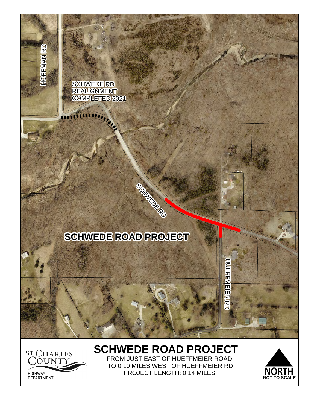

# **SCHWEDE ROAD PROJECT**  FROM JUST EAST OF HUEFFMEIER ROAD



TO 0.10 MILES WEST OF HUEFFMEIER RD PROJECT LENGTH: 0.14 MILES

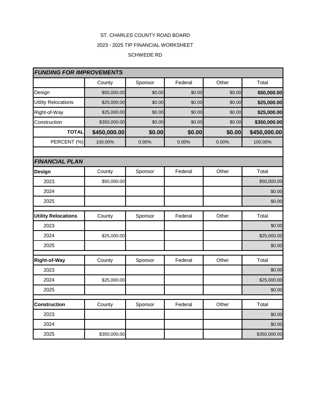# ST. CHARLES COUNTY ROAD BOARD 2023 - 2025 TIP FINANCIAL WORKSHEET

## SCHWEDE RD

| <b>FUNDING FOR IMPROVEMENTS</b> |              |         |         |        |              |
|---------------------------------|--------------|---------|---------|--------|--------------|
|                                 | County       | Sponsor | Federal | Other  | Total        |
| Design                          | \$50,000.00  | \$0.00  | \$0.00  | \$0.00 | \$50,000.00  |
| <b>Utility Relocations</b>      | \$25,000.00  | \$0.00  | \$0.00  | \$0.00 | \$25,000.00  |
| Right-of-Way                    | \$25,000.00  | \$0.00  | \$0.00  | \$0.00 | \$25,000.00  |
| Construction                    | \$350,000.00 | \$0.00  | \$0.00  | \$0.00 | \$350,000.00 |
| <b>TOTAL</b>                    | \$450,000.00 | \$0.00  | \$0.00  | \$0.00 | \$450,000.00 |
| PERCENT (%)                     | 100.00%      | 0.00%   | 0.00%   | 0.00%  | 100.00%      |
|                                 |              |         |         |        |              |
| <b>FINANCIAL PLAN</b>           |              |         |         |        |              |
| <b>Design</b>                   | County       | Sponsor | Federal | Other  | Total        |
| 2023                            | \$50,000.00  |         |         |        | \$50,000.00  |
| 2024                            |              |         |         |        | \$0.00       |
| 2025                            |              |         |         |        | \$0.00       |
| <b>Utility Relocations</b>      | County       | Sponsor | Federal | Other  | Total        |
| 2023                            |              |         |         |        | \$0.00       |
| 2024                            | \$25,000.00  |         |         |        | \$25,000.00  |
| 2025                            |              |         |         |        | \$0.00       |
| <b>Right-of-Way</b>             | County       | Sponsor | Federal | Other  | Total        |
| 2023                            |              |         |         |        | \$0.00       |
| 2024                            | \$25,000.00  |         |         |        | \$25,000.00  |
| 2025                            |              |         |         |        | \$0.00       |
|                                 |              |         |         |        |              |
| <b>Construction</b>             | County       | Sponsor | Federal | Other  | Total        |
| 2023                            |              |         |         |        | \$0.00       |
| 2024                            |              |         |         |        | \$0.00       |
| 2025                            | \$350,000.00 |         |         |        | \$350,000.00 |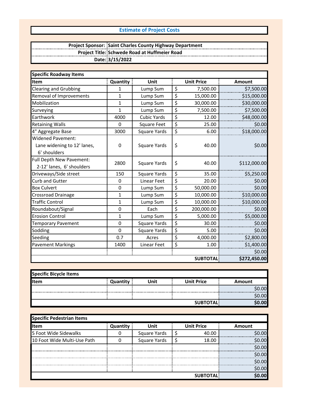## **Estimate of Project Costs**

#### **Project Sponsor: Project Title: Date: Saint Charles County Highway Department Schwede Road at Huffmeier Road 3/15/2022**

| <b>Specific Roadway Items</b>                                           |              |                     |                  |                   |               |
|-------------------------------------------------------------------------|--------------|---------------------|------------------|-------------------|---------------|
| <b>Item</b>                                                             | Quantity     | Unit                |                  | <b>Unit Price</b> | <b>Amount</b> |
| <b>Clearing and Grubbing</b>                                            | 1            | Lump Sum            | \$               | 7,500.00          | \$7,500.00    |
| Removal of Improvements                                                 | $\mathbf{1}$ | Lump Sum            | \$               | 15,000.00         | \$15,000.00   |
| Mobilization                                                            | $\mathbf{1}$ | Lump Sum            | \$               | 30,000.00         | \$30,000.00   |
| Surveying                                                               | $\mathbf{1}$ | Lump Sum            | \$               | 7,500.00          | \$7,500.00    |
| Earthwork                                                               | 4000         | <b>Cubic Yards</b>  | $\overline{\xi}$ | 12.00             | \$48,000.00   |
| <b>Retaining Walls</b>                                                  | 0            | Square Feet         | \$               | 25.00             | \$0.00        |
| 4" Aggregate Base                                                       | 3000         | <b>Square Yards</b> | \$               | 6.00              | \$18,000.00   |
| <b>Widened Pavement:</b><br>Lane widening to 12' lanes,<br>6' shoulders | 0            | <b>Square Yards</b> | \$               | 40.00             | \$0.00        |
| Full Depth New Pavement:<br>2-12' lanes, 6' shoulders                   | 2800         | Square Yards        | \$               | 40.00             | \$112,000.00  |
| Driveways/Side street                                                   | 150          | <b>Square Yards</b> | \$               | 35.00             | \$5,250.00    |
| <b>Curb and Gutter</b>                                                  | 0            | <b>Linear Feet</b>  | \$               | 20.00             | \$0.00        |
| <b>Box Culvert</b>                                                      | 0            | Lump Sum            | $\overline{\xi}$ | 50,000.00         | \$0.00        |
| Crossroad Drainage                                                      | 1            | Lump Sum            | \$               | 10,000.00         | \$10,000.00   |
| <b>Traffic Control</b>                                                  | $\mathbf{1}$ | Lump Sum            | \$               | 10,000.00         | \$10,000.00   |
| Roundabout/Signal                                                       | 0            | Each                | \$               | 200,000.00        | \$0.00        |
| <b>Erosion Control</b>                                                  | $\mathbf{1}$ | Lump Sum            | \$               | 5,000.00          | \$5,000.00    |
| <b>Temporary Pavement</b>                                               | 0            | <b>Square Yards</b> | \$               | 30.00             | \$0.00        |
| Sodding                                                                 | 0            | <b>Square Yards</b> | \$               | 5.00              | \$0.00        |
| Seeding                                                                 | 0.7          | Acres               | \$               | 4,000.00          | \$2,800.00    |
| <b>Pavement Markings</b>                                                | 1400         | Linear Feet         | \$               | 1.00              | \$1,400.00    |
|                                                                         |              |                     |                  |                   | \$0.00        |
|                                                                         |              |                     |                  | <b>SUBTOTAL</b>   | \$272,450.00  |

| <b>Specific Bicycle Items</b> |          |      |                   |            |
|-------------------------------|----------|------|-------------------|------------|
| <b>I</b> Item                 | Quantity | Unit | <b>Unit Price</b> | Amount     |
|                               |          |      |                   | \$0.00     |
|                               |          |      |                   | <br>\$0.00 |
|                               |          |      | <b>SUBTOTAL</b>   | \$0.00     |

| Specific Pedestrian Items   |          |              |                   |         |
|-----------------------------|----------|--------------|-------------------|---------|
| <b>Item</b>                 | Quantity | Unit         | <b>Unit Price</b> | Amount  |
| 5 Foot Wide Sidewalks       |          | Square Yards | 40.00             | \$0.00l |
| 10 Foot Wide Multi-Use Path |          | Square Yards | 18.00             | nol     |
|                             |          |              |                   | SN 00   |
|                             |          |              |                   | so ool  |
|                             |          |              |                   | so ool  |
|                             |          |              |                   | \$0.00  |
|                             |          |              | <b>SUBTOTAL</b>   | \$0.00l |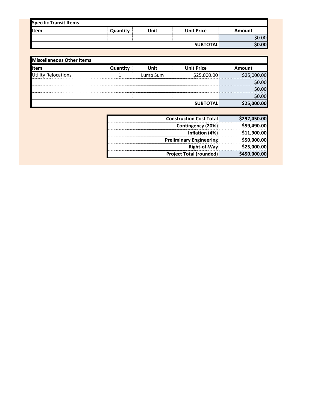| Quantity | Unit                   | <b>Unit Price</b> | Amount |
|----------|------------------------|-------------------|--------|
|          |                        |                   | \$0.00 |
|          |                        | <b>SUBTOTAL</b>   | \$0.00 |
|          | Specific Transit Items |                   |        |

| Miscellaneous Other Items  |          |          |                   |             |
|----------------------------|----------|----------|-------------------|-------------|
| lltem                      | Quantity | Unit     | <b>Unit Price</b> | Amount      |
| <b>Utility Relocations</b> |          | Lump Sum | \$25,000.00       | \$25,000.00 |
|                            |          |          |                   | \$0.00      |
|                            |          |          |                   | \$0.00      |
|                            |          |          |                   | \$0.00      |
|                            |          |          | <b>SUBTOTAL</b>   | \$25,000.00 |

| \$297,450.00 | <b>Construction Cost Total!</b> |
|--------------|---------------------------------|
| \$59,490.00  | Contingency (20%)               |
| \$11,900.00  | Inflation (4%)                  |
| \$50,000.00  | <b>Preliminary Engineering:</b> |
| \$25,000.00  | Right-of-Way:                   |
| \$450,000.00 | <b>Project Total (rounded):</b> |
|              |                                 |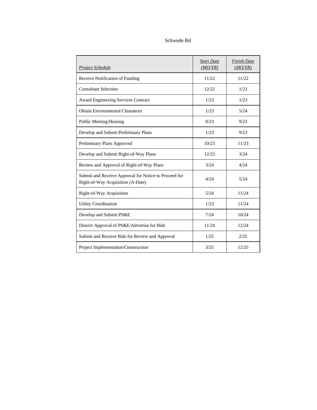## Schwede Rd

| <b>Project Schedule</b>                                                                    | <b>Start Date</b><br>(MO/YR) | <b>Finish Date</b><br>(MO/YR) |
|--------------------------------------------------------------------------------------------|------------------------------|-------------------------------|
| Receive Notification of Funding                                                            | 11/22                        | 11/22                         |
| <b>Consultant Selection</b>                                                                | 12/22                        | 1/23                          |
| <b>Award Engineering Services Contract</b>                                                 | 1/23                         | 1/23                          |
| <b>Obtain Environmental Clearances</b>                                                     | 1/23                         | 5/24                          |
| Public Meeting/Hearing                                                                     | 9/23                         | 9/23                          |
| Develop and Submit Preliminary Plans                                                       | 1/23                         | 9/23                          |
| Preliminary Plans Approved                                                                 | 10/23                        | 11/23                         |
| Develop and Submit Right-of-Way Plans                                                      | 12/23                        | 3/24                          |
| Review and Approval of Right-of-Way Plans                                                  | 3/24                         | 4/24                          |
| Submit and Receive Approval for Notice to Proceed for<br>Right-of-Way Acquisition (A-Date) | 4/24                         | 5/24                          |
| Right-of-Way Acquisition                                                                   | 5/24                         | 11/24                         |
| <b>Utility Coordination</b>                                                                | 1/23                         | 11/24                         |
| Develop and Submit PS&E                                                                    | 7/24                         | 10/24                         |
| District Approval of PS&E/Advertise for Bids                                               | 11/24                        | 12/24                         |
| Submit and Receive Bids for Review and Approval                                            | 1/25                         | 2/25                          |
| Project Implementation/Construction                                                        | 3/25                         | 12/25                         |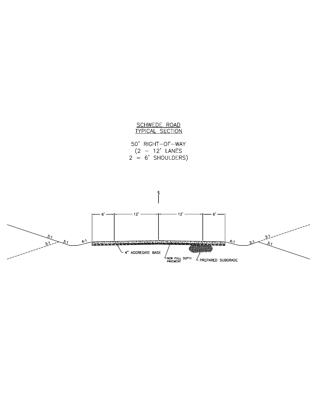

50' RIGHT-OF-WAY  $(2 - 12^{\circ}$  LANES<br> $2 - 6^{\circ}$  SHOULDERS)

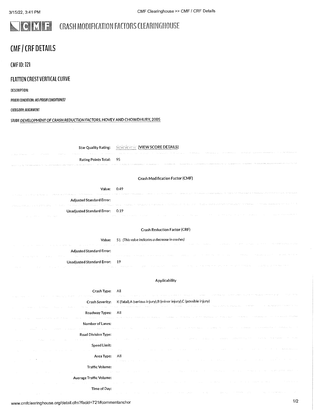#### ICIME **CRASH MODIFICATION FACTORS CLEARINGHOUSE**

# **CMF / CRF DETAILS**

**CMF ID: 721** 

## **FLATTEN CREST VERTICAL CURVE**

DESCRIPTION:

PRIOR CONDITION: NO PRIOR CONDITION(S)

CATEGORY: ALIGNMENT

## STUDY: DEVELOPMENT OF CRASH REDUCTION FACTORS, HOVEY AND CHOWDHURY, 2005

| <b>Star Quality Rating:</b>                                                         | WWWWW [VIEW SCORE DETAILS]                                                                                     |
|-------------------------------------------------------------------------------------|----------------------------------------------------------------------------------------------------------------|
|                                                                                     |                                                                                                                |
| Rating Points Total:<br>the companies are a companies and so that the companies are | - 95                                                                                                           |
|                                                                                     |                                                                                                                |
|                                                                                     | Crash Modification Factor (CMF)                                                                                |
| Value:                                                                              | 0.49                                                                                                           |
| Adjusted Standard Error:                                                            |                                                                                                                |
| approved a symptomatic servicement of the artistical                                | е середиције у се дисциру и сустемента у село од деле се дици у градом и половил се се припадните се се имални |
| Unadjusted Standard Error: 0.19                                                     |                                                                                                                |
|                                                                                     |                                                                                                                |
|                                                                                     | <b>Crash Reduction Factor (CRF)</b>                                                                            |
| Value:<br>provide a service provide a service                                       | 51 (This value indicates a decrease in crashes)                                                                |
| <b>Adjusted Standard Error:</b>                                                     |                                                                                                                |
|                                                                                     |                                                                                                                |
| Unadjusted Standard Error: 19                                                       | the complete the structure.                                                                                    |
|                                                                                     |                                                                                                                |
|                                                                                     | Applicability                                                                                                  |
| Crash Type:                                                                         | All<br>a gregoria<br>contract experience<br>signal with the eyees of the center of the service of the          |
| Crash Severity:                                                                     | K (fatal), A (serious injury), B (minor injury), C (possible injury)                                           |
| a construction of the main construc-<br>Roadway Types:                              | All                                                                                                            |
|                                                                                     |                                                                                                                |
| Number of Lanes:                                                                    |                                                                                                                |
| Road Division Type:                                                                 |                                                                                                                |

Time of Day: www.cmfclearinghouse.org/detail.cfm?facid=721#commentanchor

Average Traffic Volume:

Speed Limit:

Area Type:

Traffic Volume:

All